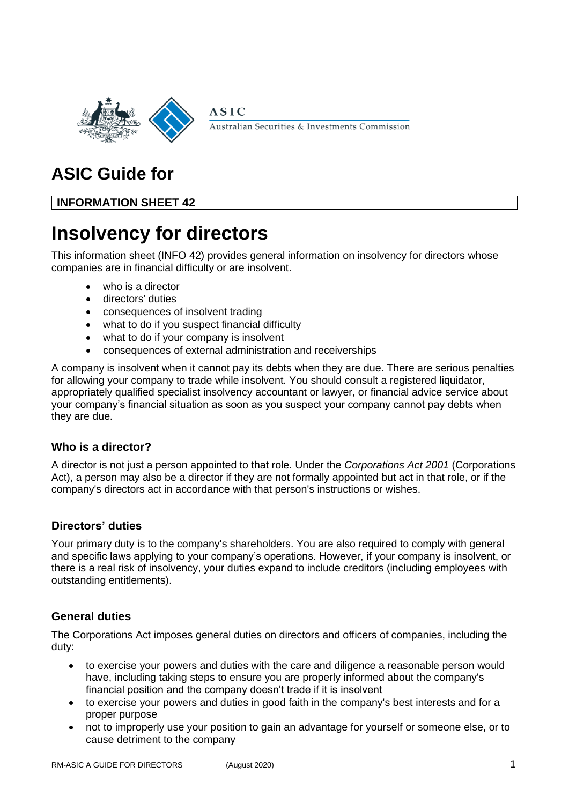

Australian Securities & Investments Commission

## **ASIC Guide for**

## **INFORMATION SHEET 42**

# **Insolvency for directors**

This information sheet (INFO 42) provides general information on insolvency for directors whose companies are in financial difficulty or are insolvent.

- who is a director
- directors' duties
- consequences of insolvent trading
- what to do if you suspect financial difficulty
- what to do if your company is insolvent
- consequences of external administration and receiverships

**ASIC** 

A company is insolvent when it cannot pay its debts when they are due. There are serious penalties for allowing your company to trade while insolvent. You should consult a registered liquidator, appropriately qualified specialist insolvency accountant or lawyer, or financial advice service about your company's financial situation as soon as you suspect your company cannot pay debts when they are due.

## **Who is a director?**

A director is not just a person appointed to that role. Under the *Corporations Act 2001* (Corporations Act), a person may also be a director if they are not formally appointed but act in that role, or if the company's directors act in accordance with that person's instructions or wishes.

## **Directors' duties**

Your primary duty is to the company's shareholders. You are also required to comply with general and specific laws applying to your company's operations. However, if your company is insolvent, or there is a real risk of insolvency, your duties expand to include creditors (including employees with outstanding entitlements).

## **General duties**

The Corporations Act imposes general duties on directors and officers of companies, including the duty:

- to exercise your powers and duties with the care and diligence a reasonable person would have, including taking steps to ensure you are properly informed about the company's financial position and the company doesn't trade if it is insolvent
- to exercise your powers and duties in good faith in the company's best interests and for a proper purpose
- not to improperly use your position to gain an advantage for yourself or someone else, or to cause detriment to the company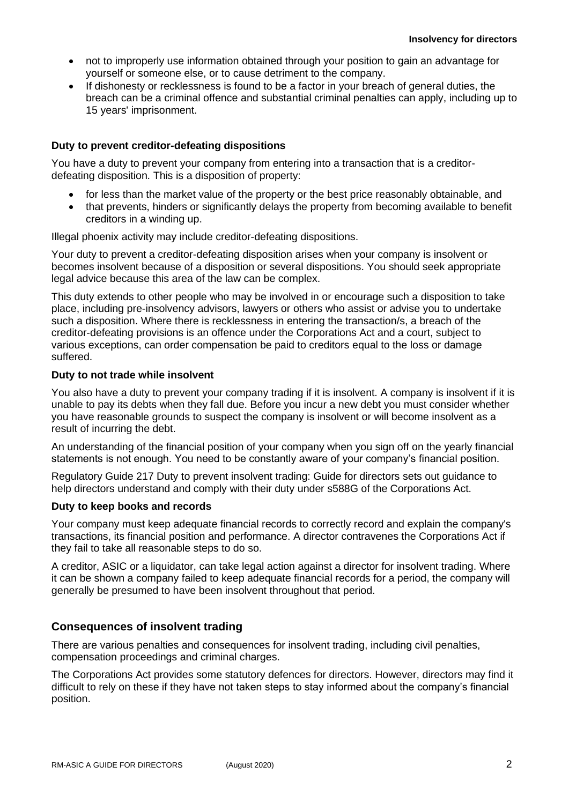- not to improperly use information obtained through your position to gain an advantage for yourself or someone else, or to cause detriment to the company.
- If dishonesty or recklessness is found to be a factor in your breach of general duties, the breach can be a criminal offence and substantial criminal penalties can apply, including up to 15 years' imprisonment.

### **Duty to prevent creditor-defeating dispositions**

You have a duty to prevent your company from entering into a transaction that is a creditordefeating disposition. This is a disposition of property:

- for less than the market value of the property or the best price reasonably obtainable, and
- that prevents, hinders or significantly delays the property from becoming available to benefit creditors in a winding up.

Illegal phoenix activity may include creditor-defeating dispositions.

Your duty to prevent a creditor-defeating disposition arises when your company is insolvent or becomes insolvent because of a disposition or several dispositions. You should seek appropriate legal advice because this area of the law can be complex.

This duty extends to other people who may be involved in or encourage such a disposition to take place, including pre-insolvency advisors, lawyers or others who assist or advise you to undertake such a disposition. Where there is recklessness in entering the transaction/s, a breach of the creditor-defeating provisions is an offence under the Corporations Act and a court, subject to various exceptions, can order compensation be paid to creditors equal to the loss or damage suffered.

#### **Duty to not trade while insolvent**

You also have a duty to prevent your company trading if it is insolvent. A company is insolvent if it is unable to pay its debts when they fall due. Before you incur a new debt you must consider whether you have reasonable grounds to suspect the company is insolvent or will become insolvent as a result of incurring the debt.

An understanding of the financial position of your company when you sign off on the yearly financial statements is not enough. You need to be constantly aware of your company's financial position.

Regulatory Guide 217 Duty to prevent insolvent trading: Guide for directors sets out guidance to help directors understand and comply with their duty under s588G of the Corporations Act.

#### **Duty to keep books and records**

Your company must keep adequate financial records to correctly record and explain the company's transactions, its financial position and performance. A director contravenes the Corporations Act if they fail to take all reasonable steps to do so.

A creditor, ASIC or a liquidator, can take legal action against a director for insolvent trading. Where it can be shown a company failed to keep adequate financial records for a period, the company will generally be presumed to have been insolvent throughout that period.

## **Consequences of insolvent trading**

There are various penalties and consequences for insolvent trading, including civil penalties, compensation proceedings and criminal charges.

The Corporations Act provides some statutory defences for directors. However, directors may find it difficult to rely on these if they have not taken steps to stay informed about the company's financial position.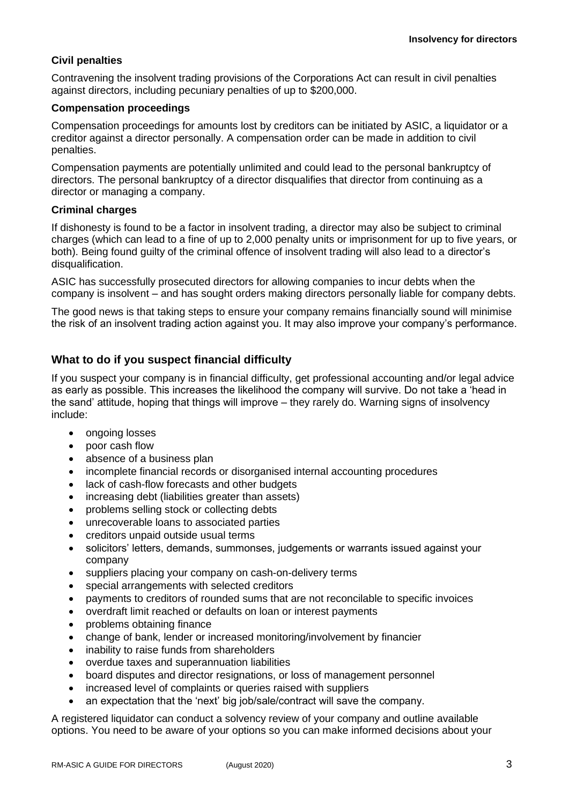## **Civil penalties**

Contravening the insolvent trading provisions of the Corporations Act can result in civil penalties against directors, including pecuniary penalties of up to \$200,000.

### **Compensation proceedings**

Compensation proceedings for amounts lost by creditors can be initiated by ASIC, a liquidator or a creditor against a director personally. A compensation order can be made in addition to civil penalties.

Compensation payments are potentially unlimited and could lead to the personal bankruptcy of directors. The personal bankruptcy of a director disqualifies that director from continuing as a director or managing a company.

#### **Criminal charges**

If dishonesty is found to be a factor in insolvent trading, a director may also be subject to criminal charges (which can lead to a fine of up to 2,000 penalty units or imprisonment for up to five years, or both). Being found guilty of the criminal offence of insolvent trading will also lead to a director's disqualification.

ASIC has successfully prosecuted directors for allowing companies to incur debts when the company is insolvent – and has sought orders making directors personally liable for company debts.

The good news is that taking steps to ensure your company remains financially sound will minimise the risk of an insolvent trading action against you. It may also improve your company's performance.

## **What to do if you suspect financial difficulty**

If you suspect your company is in financial difficulty, get professional accounting and/or legal advice as early as possible. This increases the likelihood the company will survive. Do not take a 'head in the sand' attitude, hoping that things will improve – they rarely do. Warning signs of insolvency include:

- ongoing losses
- poor cash flow
- absence of a business plan
- incomplete financial records or disorganised internal accounting procedures
- lack of cash-flow forecasts and other budgets
- increasing debt (liabilities greater than assets)
- problems selling stock or collecting debts
- unrecoverable loans to associated parties
- creditors unpaid outside usual terms
- solicitors' letters, demands, summonses, judgements or warrants issued against your company
- suppliers placing your company on cash-on-delivery terms
- special arrangements with selected creditors
- payments to creditors of rounded sums that are not reconcilable to specific invoices
- overdraft limit reached or defaults on loan or interest payments
- problems obtaining finance
- change of bank, lender or increased monitoring/involvement by financier
- inability to raise funds from shareholders
- overdue taxes and superannuation liabilities
- board disputes and director resignations, or loss of management personnel
- increased level of complaints or queries raised with suppliers
- an expectation that the 'next' big job/sale/contract will save the company.

A registered liquidator can conduct a solvency review of your company and outline available options. You need to be aware of your options so you can make informed decisions about your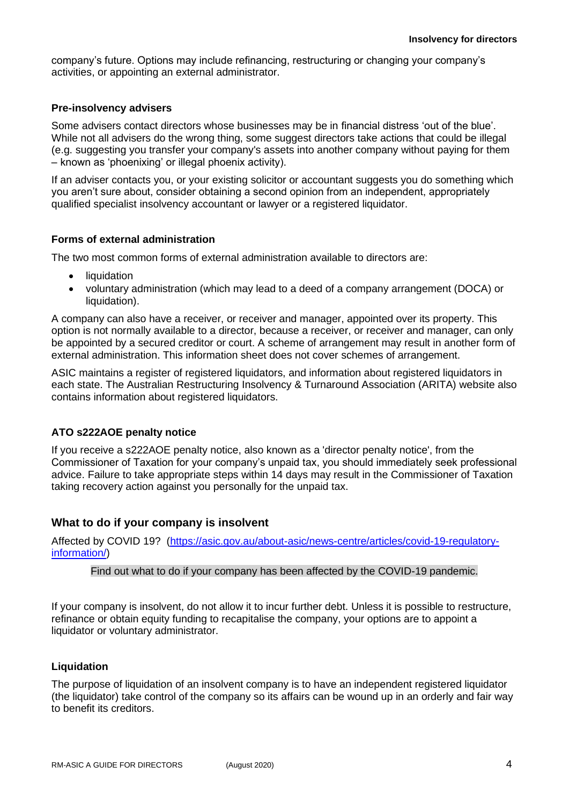company's future. Options may include refinancing, restructuring or changing your company's activities, or appointing an external administrator.

#### **Pre-insolvency advisers**

Some advisers contact directors whose businesses may be in financial distress 'out of the blue'. While not all advisers do the wrong thing, some suggest directors take actions that could be illegal (e.g. suggesting you transfer your company's assets into another company without paying for them – known as 'phoenixing' or illegal phoenix activity).

If an adviser contacts you, or your existing solicitor or accountant suggests you do something which you aren't sure about, consider obtaining a second opinion from an independent, appropriately qualified specialist insolvency accountant or lawyer or a registered liquidator.

#### **Forms of external administration**

The two most common forms of external administration available to directors are:

- liquidation
- voluntary administration (which may lead to a deed of a company arrangement (DOCA) or liquidation).

A company can also have a receiver, or receiver and manager, appointed over its property. This option is not normally available to a director, because a receiver, or receiver and manager, can only be appointed by a secured creditor or court. A scheme of arrangement may result in another form of external administration. This information sheet does not cover schemes of arrangement.

ASIC maintains a register of registered liquidators, and information about registered liquidators in each state. The Australian Restructuring Insolvency & Turnaround Association (ARITA) website also contains information about registered liquidators.

#### **ATO s222AOE penalty notice**

If you receive a s222AOE penalty notice, also known as a 'director penalty notice', from the Commissioner of Taxation for your company's unpaid tax, you should immediately seek professional advice. Failure to take appropriate steps within 14 days may result in the Commissioner of Taxation taking recovery action against you personally for the unpaid tax.

#### **What to do if your company is insolvent**

Affected by COVID 19? [\(https://asic.gov.au/about-asic/news-centre/articles/covid-19-regulatory](https://asic.gov.au/about-asic/news-centre/articles/covid-19-regulatory-information/)[information/\)](https://asic.gov.au/about-asic/news-centre/articles/covid-19-regulatory-information/)

Find out what to do if your company has been affected by the COVID-19 pandemic.

If your company is insolvent, do not allow it to incur further debt. Unless it is possible to restructure, refinance or obtain equity funding to recapitalise the company, your options are to appoint a liquidator or voluntary administrator.

#### **Liquidation**

The purpose of liquidation of an insolvent company is to have an independent registered liquidator (the liquidator) take control of the company so its affairs can be wound up in an orderly and fair way to benefit its creditors.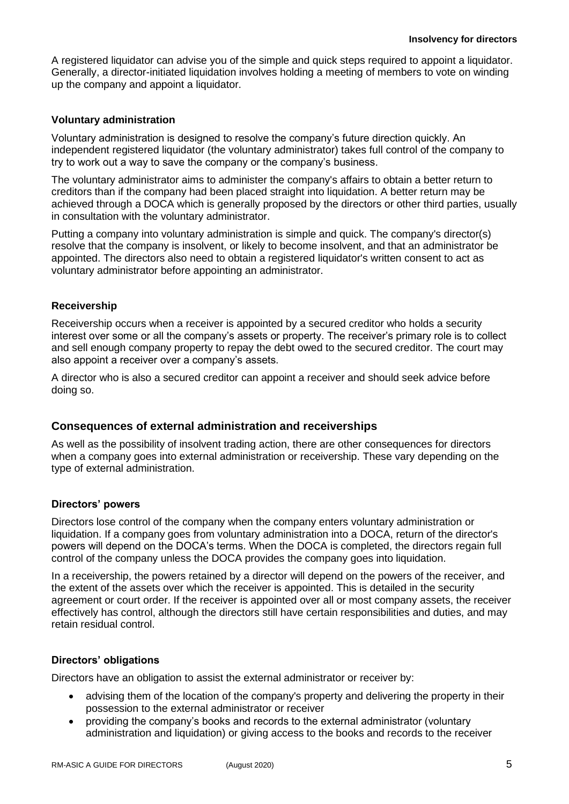A registered liquidator can advise you of the simple and quick steps required to appoint a liquidator. Generally, a director-initiated liquidation involves holding a meeting of members to vote on winding up the company and appoint a liquidator.

#### **Voluntary administration**

Voluntary administration is designed to resolve the company's future direction quickly. An independent registered liquidator (the voluntary administrator) takes full control of the company to try to work out a way to save the company or the company's business.

The voluntary administrator aims to administer the company's affairs to obtain a better return to creditors than if the company had been placed straight into liquidation. A better return may be achieved through a DOCA which is generally proposed by the directors or other third parties, usually in consultation with the voluntary administrator.

Putting a company into voluntary administration is simple and quick. The company's director(s) resolve that the company is insolvent, or likely to become insolvent, and that an administrator be appointed. The directors also need to obtain a registered liquidator's written consent to act as voluntary administrator before appointing an administrator.

#### **Receivership**

Receivership occurs when a receiver is appointed by a secured creditor who holds a security interest over some or all the company's assets or property. The receiver's primary role is to collect and sell enough company property to repay the debt owed to the secured creditor. The court may also appoint a receiver over a company's assets.

A director who is also a secured creditor can appoint a receiver and should seek advice before doing so.

#### **Consequences of external administration and receiverships**

As well as the possibility of insolvent trading action, there are other consequences for directors when a company goes into external administration or receivership. These vary depending on the type of external administration.

#### **Directors' powers**

Directors lose control of the company when the company enters voluntary administration or liquidation. If a company goes from voluntary administration into a DOCA, return of the director's powers will depend on the DOCA's terms. When the DOCA is completed, the directors regain full control of the company unless the DOCA provides the company goes into liquidation.

In a receivership, the powers retained by a director will depend on the powers of the receiver, and the extent of the assets over which the receiver is appointed. This is detailed in the security agreement or court order. If the receiver is appointed over all or most company assets, the receiver effectively has control, although the directors still have certain responsibilities and duties, and may retain residual control.

#### **Directors' obligations**

Directors have an obligation to assist the external administrator or receiver by:

- advising them of the location of the company's property and delivering the property in their possession to the external administrator or receiver
- providing the company's books and records to the external administrator (voluntary administration and liquidation) or giving access to the books and records to the receiver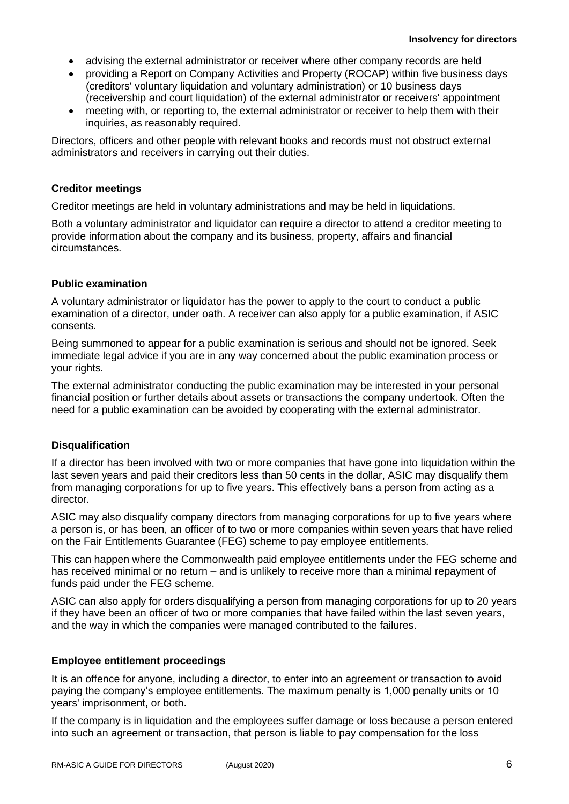- advising the external administrator or receiver where other company records are held
- providing a Report on Company Activities and Property (ROCAP) within five business days (creditors' voluntary liquidation and voluntary administration) or 10 business days (receivership and court liquidation) of the external administrator or receivers' appointment
- meeting with, or reporting to, the external administrator or receiver to help them with their inquiries, as reasonably required.

Directors, officers and other people with relevant books and records must not obstruct external administrators and receivers in carrying out their duties.

#### **Creditor meetings**

Creditor meetings are held in voluntary administrations and may be held in liquidations.

Both a voluntary administrator and liquidator can require a director to attend a creditor meeting to provide information about the company and its business, property, affairs and financial circumstances.

#### **Public examination**

A voluntary administrator or liquidator has the power to apply to the court to conduct a public examination of a director, under oath. A receiver can also apply for a public examination, if ASIC consents.

Being summoned to appear for a public examination is serious and should not be ignored. Seek immediate legal advice if you are in any way concerned about the public examination process or your rights.

The external administrator conducting the public examination may be interested in your personal financial position or further details about assets or transactions the company undertook. Often the need for a public examination can be avoided by cooperating with the external administrator.

#### **Disqualification**

If a director has been involved with two or more companies that have gone into liquidation within the last seven years and paid their creditors less than 50 cents in the dollar, ASIC may disqualify them from managing corporations for up to five years. This effectively bans a person from acting as a director.

ASIC may also disqualify company directors from managing corporations for up to five years where a person is, or has been, an officer of to two or more companies within seven years that have relied on the Fair Entitlements Guarantee (FEG) scheme to pay employee entitlements.

This can happen where the Commonwealth paid employee entitlements under the FEG scheme and has received minimal or no return – and is unlikely to receive more than a minimal repayment of funds paid under the FEG scheme.

ASIC can also apply for orders disqualifying a person from managing corporations for up to 20 years if they have been an officer of two or more companies that have failed within the last seven years, and the way in which the companies were managed contributed to the failures.

#### **Employee entitlement proceedings**

It is an offence for anyone, including a director, to enter into an agreement or transaction to avoid paying the company's employee entitlements. The maximum penalty is 1,000 penalty units or 10 years' imprisonment, or both.

If the company is in liquidation and the employees suffer damage or loss because a person entered into such an agreement or transaction, that person is liable to pay compensation for the loss